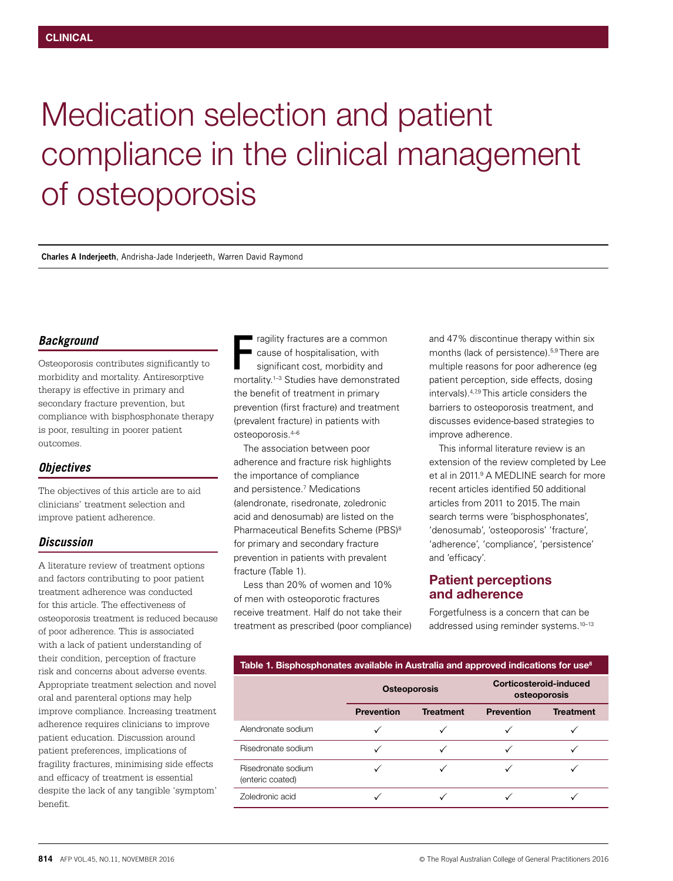# Medication selection and patient compliance in the clinical management of osteoporosis

**Charles A Inderjeeth**, Andrisha-Jade Inderjeeth, Warren David Raymond

#### *Background*

Osteoporosis contributes significantly to morbidity and mortality. Antiresorptive therapy is effective in primary and secondary fracture prevention, but compliance with bisphosphonate therapy is poor, resulting in poorer patient outcomes.

#### *Objectives*

The objectives of this article are to aid clinicians' treatment selection and improve patient adherence.

#### *Discussion*

A literature review of treatment options and factors contributing to poor patient treatment adherence was conducted for this article. The effectiveness of osteoporosis treatment is reduced because of poor adherence. This is associated with a lack of patient understanding of their condition, perception of fracture risk and concerns about adverse events. Appropriate treatment selection and novel oral and parenteral options may help improve compliance. Increasing treatment adherence requires clinicians to improve patient education. Discussion around patient preferences, implications of fragility fractures, minimising side effects and efficacy of treatment is essential despite the lack of any tangible 'symptom' benefit.

ragility fractures are a common cause of hospitalisation, with significant cost, morbidity and ragility fractures are a common<br>
cause of hospitalisation, with<br>
significant cost, morbidity and<br>
mortality.<sup>1-3</sup> Studies have demonstrated the benefit of treatment in primary prevention (first fracture) and treatment (prevalent fracture) in patients with osteoporosis.4–6

The association between poor adherence and fracture risk highlights the importance of compliance and persistence.7 Medications (alendronate, risedronate, zoledronic acid and denosumab) are listed on the Pharmaceutical Benefits Scheme (PBS)<sup>8</sup> for primary and secondary fracture prevention in patients with prevalent fracture (Table 1).

Less than 20% of women and 10% of men with osteoporotic fractures receive treatment. Half do not take their treatment as prescribed (poor compliance) and 47% discontinue therapy within six months (lack of persistence).5,9 There are multiple reasons for poor adherence (eg patient perception, side effects, dosing intervals).<sup>4,79</sup> This article considers the barriers to osteoporosis treatment, and discusses evidence-based strategies to improve adherence.

This informal literature review is an extension of the review completed by Lee et al in 2011.<sup>9</sup> A MEDLINE search for more recent articles identified 50 additional articles from 2011 to 2015. The main search terms were 'bisphosphonates', 'denosumab', 'osteoporosis' 'fracture', 'adherence', 'compliance', 'persistence' and 'efficacy'.

# Patient perceptions and adherence

Forgetfulness is a concern that can be addressed using reminder systems.10–13

| Table 1. Bisphosphonates available in Australia and approved indications for use <sup>8</sup> |                     |                  |                                        |                  |  |
|-----------------------------------------------------------------------------------------------|---------------------|------------------|----------------------------------------|------------------|--|
|                                                                                               | <b>Osteoporosis</b> |                  | Corticosteroid-induced<br>osteoporosis |                  |  |
|                                                                                               | <b>Prevention</b>   | <b>Treatment</b> | <b>Prevention</b>                      | <b>Treatment</b> |  |

|                                        | і ісуспочі | 1159111511 | 11505119711 | 11 <del>c</del> aun ch |
|----------------------------------------|------------|------------|-------------|------------------------|
| Alendronate sodium                     |            |            |             |                        |
| Risedronate sodium                     |            |            |             |                        |
| Risedronate sodium<br>(enteric coated) |            |            |             |                        |
| Zoledronic acid                        |            |            |             |                        |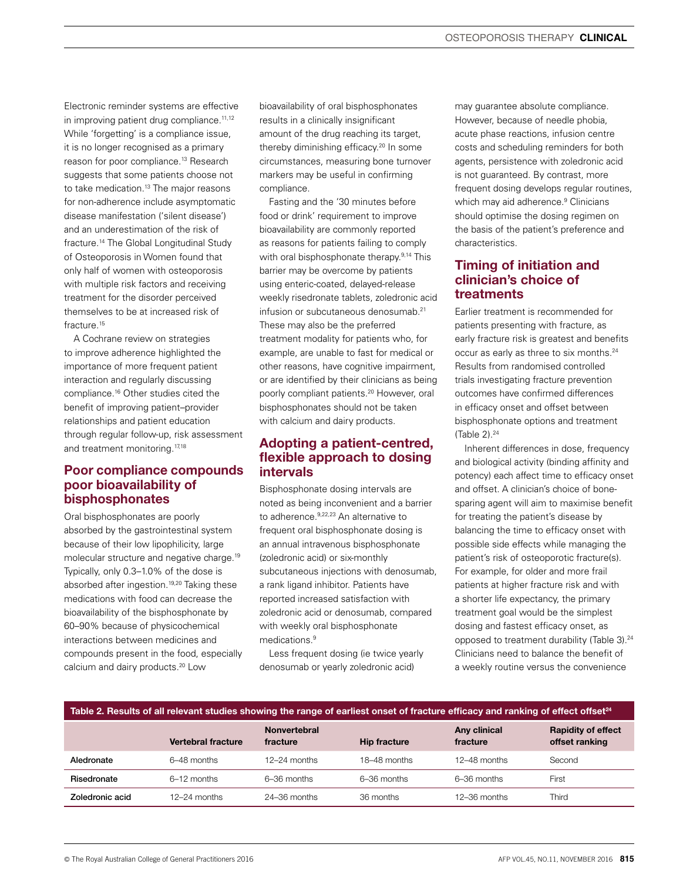Electronic reminder systems are effective in improving patient drug compliance.<sup>11,12</sup> While 'forgetting' is a compliance issue, it is no longer recognised as a primary reason for poor compliance.<sup>13</sup> Research suggests that some patients choose not to take medication.<sup>13</sup> The major reasons for non-adherence include asymptomatic disease manifestation ('silent disease') and an underestimation of the risk of fracture.14 The Global Longitudinal Study of Osteoporosis in Women found that only half of women with osteoporosis with multiple risk factors and receiving treatment for the disorder perceived themselves to be at increased risk of fracture.<sup>15</sup>

A Cochrane review on strategies to improve adherence highlighted the importance of more frequent patient interaction and regularly discussing compliance.16 Other studies cited the benefit of improving patient–provider relationships and patient education through regular follow-up, risk assessment and treatment monitoring.<sup>17,18</sup>

# Poor compliance compounds poor bioavailability of bisphosphonates

Oral bisphosphonates are poorly absorbed by the gastrointestinal system because of their low lipophilicity, large molecular structure and negative charge.19 Typically, only 0.3–1.0% of the dose is absorbed after ingestion.<sup>19,20</sup> Taking these medications with food can decrease the bioavailability of the bisphosphonate by 60–90% because of physicochemical interactions between medicines and compounds present in the food, especially calcium and dairy products.20 Low

bioavailability of oral bisphosphonates results in a clinically insignificant amount of the drug reaching its target, thereby diminishing efficacy.<sup>20</sup> In some circumstances, measuring bone turnover markers may be useful in confirming compliance.

Fasting and the '30 minutes before food or drink' requirement to improve bioavailability are commonly reported as reasons for patients failing to comply with oral bisphosphonate therapy.<sup>9,14</sup> This barrier may be overcome by patients using enteric-coated, delayed-release weekly risedronate tablets, zoledronic acid infusion or subcutaneous denosumab.<sup>21</sup> These may also be the preferred treatment modality for patients who, for example, are unable to fast for medical or other reasons, have cognitive impairment, or are identified by their clinicians as being poorly compliant patients.20 However, oral bisphosphonates should not be taken with calcium and dairy products.

# Adopting a patient-centred, flexible approach to dosing intervals

Bisphosphonate dosing intervals are noted as being inconvenient and a barrier to adherence. 9,22,23 An alternative to frequent oral bisphosphonate dosing is an annual intravenous bisphosphonate (zoledronic acid) or six-monthly subcutaneous injections with denosumab, a rank ligand inhibitor. Patients have reported increased satisfaction with zoledronic acid or denosumab, compared with weekly oral bisphosphonate medications.9

Less frequent dosing (ie twice yearly denosumab or yearly zoledronic acid)

may guarantee absolute compliance. However, because of needle phobia, acute phase reactions, infusion centre costs and scheduling reminders for both agents, persistence with zoledronic acid is not guaranteed. By contrast, more frequent dosing develops requiar routines. which may aid adherence.<sup>9</sup> Clinicians should optimise the dosing regimen on the basis of the patient's preference and characteristics.

# Timing of initiation and clinician's choice of treatments

Earlier treatment is recommended for patients presenting with fracture, as early fracture risk is greatest and benefits occur as early as three to six months.24 Results from randomised controlled trials investigating fracture prevention outcomes have confirmed differences in efficacy onset and offset between bisphosphonate options and treatment (Table  $2$ ). $24$ 

Inherent differences in dose, frequency and biological activity (binding affinity and potency) each affect time to efficacy onset and offset. A clinician's choice of bonesparing agent will aim to maximise benefit for treating the patient's disease by balancing the time to efficacy onset with possible side effects while managing the patient's risk of osteoporotic fracture(s). For example, for older and more frail patients at higher fracture risk and with a shorter life expectancy, the primary treatment goal would be the simplest dosing and fastest efficacy onset, as opposed to treatment durability (Table 3).<sup>24</sup> Clinicians need to balance the benefit of a weekly routine versus the convenience

| Table 2. Results of all relevant studies showing the range of earliest onset of fracture efficacy and ranking of effect offset <sup>24</sup> |                           |                                 |                     |                          |                                             |
|----------------------------------------------------------------------------------------------------------------------------------------------|---------------------------|---------------------------------|---------------------|--------------------------|---------------------------------------------|
|                                                                                                                                              | <b>Vertebral fracture</b> | <b>Nonvertebral</b><br>fracture | <b>Hip fracture</b> | Any clinical<br>fracture | <b>Rapidity of effect</b><br>offset ranking |
| Aledronate                                                                                                                                   | 6-48 months               | $12-24$ months                  | 18-48 months        | $12-48$ months           | Second                                      |
| Risedronate                                                                                                                                  | $6-12$ months             | 6-36 months                     | $6-36$ months       | $6-36$ months            | First                                       |
| Zoledronic acid                                                                                                                              | $12-24$ months            | $24-36$ months                  | 36 months           | $12 - 36$ months         | Third                                       |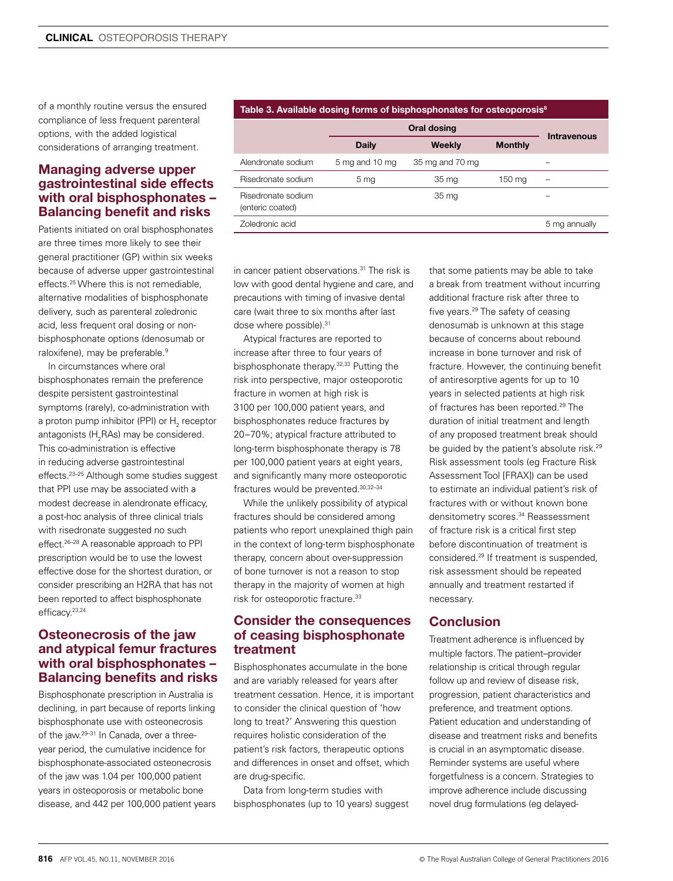**CLINICAL** OSTEOPOROSIS THERAPY

of a monthly routine versus the ensured compliance of less frequent parenteral options, with the added logistical considerations of arranging treatment.

## Managing adverse upper gastrointestinal side effects with oral bisphosphonates – Balancing benefit and risks

Patients initiated on oral bisphosphonates are three times more likely to see their general practitioner (GP) within six weeks because of adverse upper gastrointestinal effects.25 Where this is not remediable, alternative modalities of bisphosphonate delivery, such as parenteral zoledronic acid, less frequent oral dosing or nonbisphosphonate options (denosumab or raloxifene), may be preferable.<sup>9</sup>

In circumstances where oral bisphosphonates remain the preference despite persistent gastrointestinal symptoms (rarely), co-administration with a proton pump inhibitor (PPI) or  ${\sf H}_{_2}$  receptor antagonists (H $_{\rm 2}$ RAs) may be considered. This co-administration is effective in reducing adverse gastrointestinal effects.23–25 Although some studies suggest that PPI use may be associated with a modest decrease in alendronate efficacy, a post-hoc analysis of three clinical trials with risedronate suggested no such effect.26–28 A reasonable approach to PPI prescription would be to use the lowest effective dose for the shortest duration, or consider prescribing an H2RA that has not been reported to affect bisphosphonate efficacy.23,24

#### Osteonecrosis of the jaw and atypical femur fractures with oral bisphosphonates – Balancing benefits and risks

Bisphosphonate prescription in Australia is declining, in part because of reports linking bisphosphonate use with osteonecrosis of the jaw.<sup>29-31</sup> In Canada, over a threeyear period, the cumulative incidence for bisphosphonate-associated osteonecrosis of the jaw was 1.04 per 100,000 patient years in osteoporosis or metabolic bone disease, and 442 per 100,000 patient years

#### Table 3. Available dosing forms of bisphosphonates for osteoporosis<sup>8</sup>

|                                        | <b>Oral dosing</b> |                 |                | <b>Intravenous</b> |
|----------------------------------------|--------------------|-----------------|----------------|--------------------|
|                                        | <b>Daily</b>       | Weekly          | <b>Monthly</b> |                    |
| Alendronate sodium                     | 5 mg and 10 mg     | 35 mg and 70 mg |                |                    |
| Risedronate sodium                     | 5 mg               | 35 mg           | 150 mg         |                    |
| Risedronate sodium<br>(enteric coated) |                    | 35 mg           |                |                    |
| Zoledronic acid                        |                    |                 |                | 5 mg annually      |

in cancer patient observations.<sup>31</sup> The risk is low with good dental hygiene and care, and precautions with timing of invasive dental care (wait three to six months after last dose where possible).<sup>31</sup>

Atypical fractures are reported to increase after three to four years of bisphosphonate therapy.<sup>32,33</sup> Putting the risk into perspective, major osteoporotic fracture in women at high risk is 3100 per 100,000 patient years, and bisphosphonates reduce fractures by 20–70%; atypical fracture attributed to long-term bisphosphonate therapy is 78 per 100,000 patient years at eight years, and significantly many more osteoporotic fractures would be prevented.30,32–34

While the unlikely possibility of atypical fractures should be considered among patients who report unexplained thigh pain in the context of long-term bisphosphonate therapy, concern about over-suppression of bone turnover is not a reason to stop therapy in the majority of women at high risk for osteoporotic fracture.33

#### Consider the consequences of ceasing bisphosphonate treatment

Bisphosphonates accumulate in the bone and are variably released for years after treatment cessation. Hence, it is important to consider the clinical question of 'how long to treat?' Answering this question requires holistic consideration of the patient's risk factors, therapeutic options and differences in onset and offset, which are drug-specific.

Data from long-term studies with bisphosphonates (up to 10 years) suggest that some patients may be able to take a break from treatment without incurring additional fracture risk after three to five years.29 The safety of ceasing denosumab is unknown at this stage because of concerns about rebound increase in bone turnover and risk of fracture. However, the continuing benefit of antiresorptive agents for up to 10 years in selected patients at high risk of fractures has been reported.<sup>29</sup> The duration of initial treatment and length of any proposed treatment break should be guided by the patient's absolute risk.<sup>29</sup> Risk assessment tools (eg Fracture Risk Assessment Tool [FRAX]) can be used to estimate an individual patient's risk of fractures with or without known bone densitometry scores.<sup>34</sup> Reassessment of fracture risk is a critical first step before discontinuation of treatment is considered.29 If treatment is suspended, risk assessment should be repeated annually and treatment restarted if necessary.

## **Conclusion**

Treatment adherence is influenced by multiple factors. The patient–provider relationship is critical through regular follow up and review of disease risk, progression, patient characteristics and preference, and treatment options. Patient education and understanding of disease and treatment risks and benefits is crucial in an asymptomatic disease. Reminder systems are useful where forgetfulness is a concern. Strategies to improve adherence include discussing novel drug formulations (eg delayed